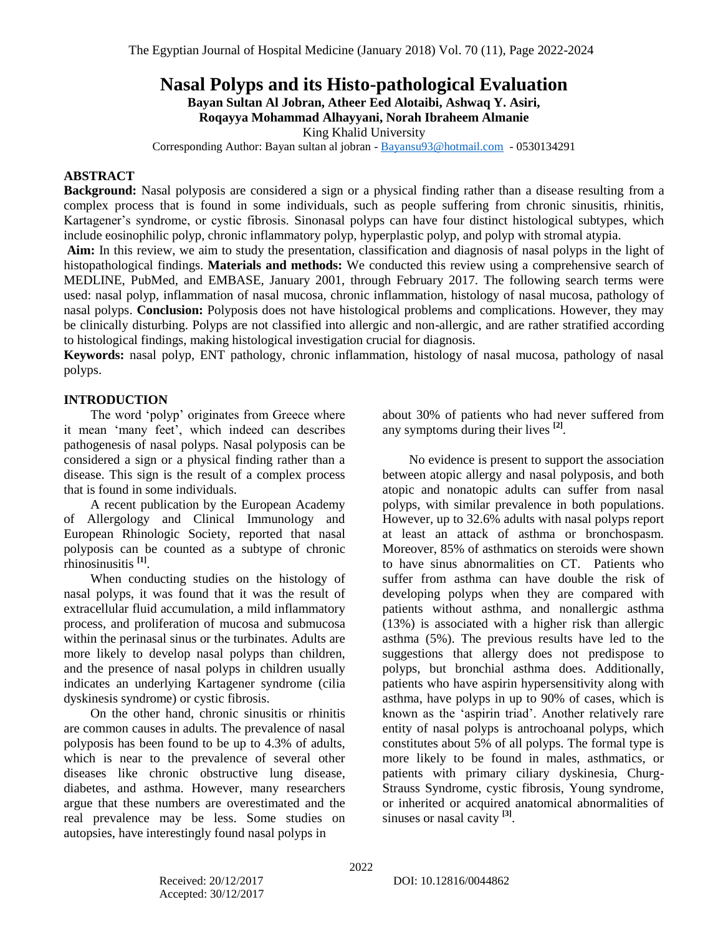# **Nasal Polyps and its Histo-pathological Evaluation**

**Bayan Sultan Al Jobran, Atheer Eed Alotaibi, Ashwaq Y. Asiri, Roqayya Mohammad Alhayyani, Norah Ibraheem Almanie**

King Khalid University

Corresponding Author: Bayan sultan al jobran - [Bayansu93@hotmail.com](mailto:Bayansu93@hotmail.com) - 0530134291

## **ABSTRACT**

**Background:** Nasal polyposis are considered a sign or a physical finding rather than a disease resulting from a complex process that is found in some individuals, such as people suffering from chronic sinusitis, rhinitis, Kartagener's syndrome, or cystic fibrosis. Sinonasal polyps can have four distinct histological subtypes, which include eosinophilic polyp, chronic inflammatory polyp, hyperplastic polyp, and polyp with stromal atypia.

**Aim:** In this review, we aim to study the presentation, classification and diagnosis of nasal polyps in the light of histopathological findings. **Materials and methods:** We conducted this review using a comprehensive search of MEDLINE, PubMed, and EMBASE, January 2001, through February 2017. The following search terms were used: nasal polyp, inflammation of nasal mucosa, chronic inflammation, histology of nasal mucosa, pathology of nasal polyps. **Conclusion:** Polyposis does not have histological problems and complications. However, they may be clinically disturbing. Polyps are not classified into allergic and non-allergic, and are rather stratified according to histological findings, making histological investigation crucial for diagnosis.

**Keywords:** nasal polyp, ENT pathology, chronic inflammation, histology of nasal mucosa, pathology of nasal polyps.

#### **INTRODUCTION**

The word 'polyp' originates from Greece where it mean 'many feet', which indeed can describes pathogenesis of nasal polyps. Nasal polyposis can be considered a sign or a physical finding rather than a disease. This sign is the result of a complex process that is found in some individuals.

A recent publication by the European Academy of Allergology and Clinical Immunology and European Rhinologic Society, reported that nasal polyposis can be counted as a subtype of chronic rhinosinusitis **[1]** .

When conducting studies on the histology of nasal polyps, it was found that it was the result of extracellular fluid accumulation, a mild inflammatory process, and proliferation of mucosa and submucosa within the perinasal sinus or the turbinates. Adults are more likely to develop nasal polyps than children, and the presence of nasal polyps in children usually indicates an underlying Kartagener syndrome (cilia dyskinesis syndrome) or cystic fibrosis.

On the other hand, chronic sinusitis or rhinitis are common causes in adults. The prevalence of nasal polyposis has been found to be up to 4.3% of adults, which is near to the prevalence of several other diseases like chronic obstructive lung disease, diabetes, and asthma. However, many researchers argue that these numbers are overestimated and the real prevalence may be less. Some studies on autopsies, have interestingly found nasal polyps in

about 30% of patients who had never suffered from any symptoms during their lives **[2]** .

No evidence is present to support the association between atopic allergy and nasal polyposis, and both atopic and nonatopic adults can suffer from nasal polyps, with similar prevalence in both populations. However, up to 32.6% adults with nasal polyps report at least an attack of asthma or bronchospasm. Moreover, 85% of asthmatics on steroids were shown to have sinus abnormalities on CT. Patients who suffer from asthma can have double the risk of developing polyps when they are compared with patients without asthma, and nonallergic asthma (13%) is associated with a higher risk than allergic asthma (5%). The previous results have led to the suggestions that allergy does not predispose to polyps, but bronchial asthma does. Additionally, patients who have aspirin hypersensitivity along with asthma, have polyps in up to 90% of cases, which is known as the 'aspirin triad'. Another relatively rare entity of nasal polyps is antrochoanal polyps, which constitutes about 5% of all polyps. The formal type is more likely to be found in males, asthmatics, or patients with primary ciliary dyskinesia, Churg-Strauss Syndrome, cystic fibrosis, Young syndrome, or inherited or acquired anatomical abnormalities of sinuses or nasal cavity<sup>[3]</sup>.

Accepted: 30/12/2017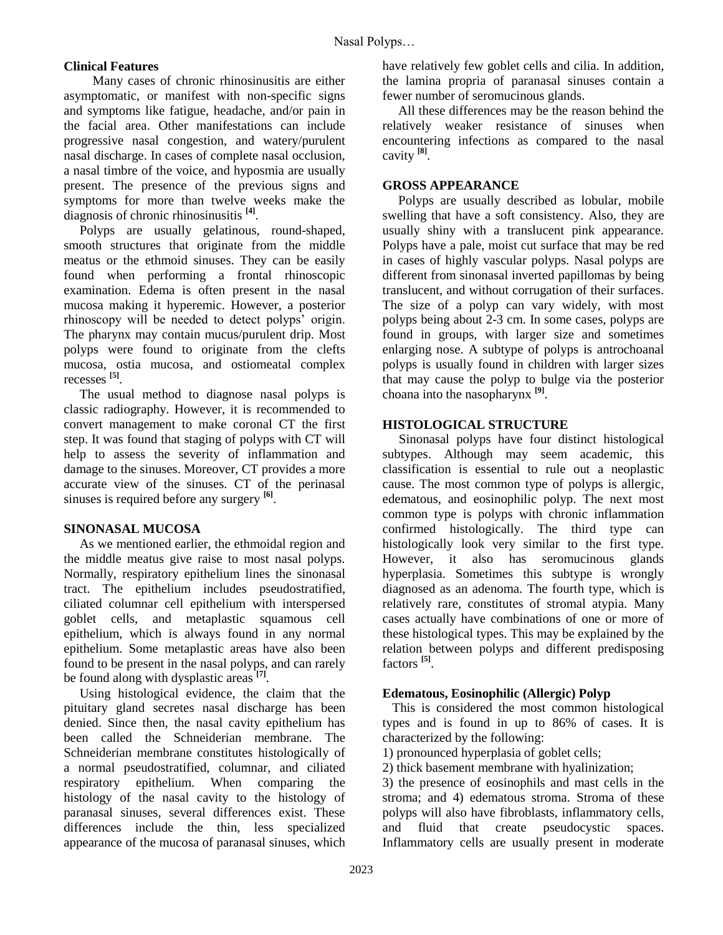# **Clinical Features**

 Many cases of chronic rhinosinusitis are either asymptomatic, or manifest with non-specific signs and symptoms like fatigue, headache, and/or pain in the facial area. Other manifestations can include progressive nasal congestion, and watery/purulent nasal discharge. In cases of complete nasal occlusion, a nasal timbre of the voice, and hyposmia are usually present. The presence of the previous signs and symptoms for more than twelve weeks make the diagnosis of chronic rhinosinusitis **[4]** .

Polyps are usually gelatinous, round-shaped, smooth structures that originate from the middle meatus or the ethmoid sinuses. They can be easily found when performing a frontal rhinoscopic examination. Edema is often present in the nasal mucosa making it hyperemic. However, a posterior rhinoscopy will be needed to detect polyps' origin. The pharynx may contain mucus/purulent drip. Most polyps were found to originate from the clefts mucosa, ostia mucosa, and ostiomeatal complex recesses **[5]** .

The usual method to diagnose nasal polyps is classic radiography. However, it is recommended to convert management to make coronal CT the first step. It was found that staging of polyps with CT will help to assess the severity of inflammation and damage to the sinuses. Moreover, CT provides a more accurate view of the sinuses. CT of the perinasal sinuses is required before any surgery **[6]** .

## **SINONASAL MUCOSA**

As we mentioned earlier, the ethmoidal region and the middle meatus give raise to most nasal polyps. Normally, respiratory epithelium lines the sinonasal tract. The epithelium includes pseudostratified, ciliated columnar cell epithelium with interspersed goblet cells, and metaplastic squamous cell epithelium, which is always found in any normal epithelium. Some metaplastic areas have also been found to be present in the nasal polyps, and can rarely be found along with dysplastic areas **[7]** .

Using histological evidence, the claim that the pituitary gland secretes nasal discharge has been denied. Since then, the nasal cavity epithelium has been called the Schneiderian membrane. The Schneiderian membrane constitutes histologically of a normal pseudostratified, columnar, and ciliated respiratory epithelium. When comparing the histology of the nasal cavity to the histology of paranasal sinuses, several differences exist. These differences include the thin, less specialized appearance of the mucosa of paranasal sinuses, which have relatively few goblet cells and cilia. In addition, the lamina propria of paranasal sinuses contain a fewer number of seromucinous glands.

All these differences may be the reason behind the relatively weaker resistance of sinuses when encountering infections as compared to the nasal cavity **[8]** .

## **GROSS APPEARANCE**

Polyps are usually described as lobular, mobile swelling that have a soft consistency. Also, they are usually shiny with a translucent pink appearance. Polyps have a pale, moist cut surface that may be red in cases of highly vascular polyps. Nasal polyps are different from sinonasal inverted papillomas by being translucent, and without corrugation of their surfaces. The size of a polyp can vary widely, with most polyps being about 2-3 cm. In some cases, polyps are found in groups, with larger size and sometimes enlarging nose. A subtype of polyps is antrochoanal polyps is usually found in children with larger sizes that may cause the polyp to bulge via the posterior choana into the nasopharynx **[9]** .

## **HISTOLOGICAL STRUCTURE**

 Sinonasal polyps have four distinct histological subtypes. Although may seem academic, this classification is essential to rule out a neoplastic cause. The most common type of polyps is allergic, edematous, and eosinophilic polyp. The next most common type is polyps with chronic inflammation confirmed histologically. The third type can histologically look very similar to the first type. However, it also has seromucinous glands hyperplasia. Sometimes this subtype is wrongly diagnosed as an adenoma. The fourth type, which is relatively rare, constitutes of stromal atypia. Many cases actually have combinations of one or more of these histological types. This may be explained by the relation between polyps and different predisposing factors **[5]** .

#### **Edematous, Eosinophilic (Allergic) Polyp**

 This is considered the most common histological types and is found in up to 86% of cases. It is characterized by the following:

1) pronounced hyperplasia of goblet cells;

2) thick basement membrane with hyalinization;

3) the presence of eosinophils and mast cells in the stroma; and 4) edematous stroma. Stroma of these polyps will also have fibroblasts, inflammatory cells, and fluid that create pseudocystic spaces. Inflammatory cells are usually present in moderate